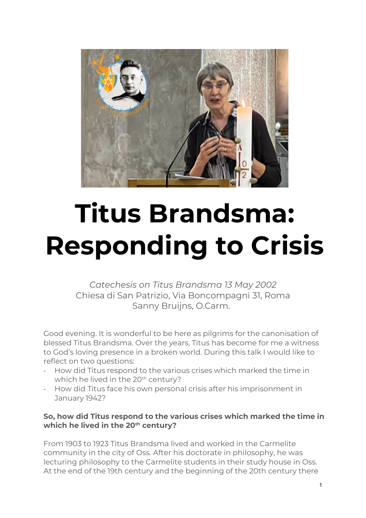

## **Titus Brandsma: Responding to Crisis**

*Catechesis on Titus Brandsma 13 May 2002* Chiesa di San Patrizio, Via Boncompagni 31, Roma Sanny Bruijns, O.Carm.

Good evening. It is wonderful to be here as pilgrims for the canonisation of blessed Titus Brandsma. Over the years, Titus has become for me a witness to God's loving presence in a broken world. During this talk I would like to reflect on two questions:

- How did Titus respond to the various crises which marked the time in which he lived in the 20<sup>th</sup> century?
- How did Titus face his own personal crisis after his imprisonment in January 1942?

## **So, how did Titus respond to the various crises which marked the time in which he lived in the 20th century?**

From 1903 to 1923 Titus Brandsma lived and worked in the Carmelite community in the city of Oss. After his doctorate in philosophy, he was lecturing philosophy to the Carmelite students in their study house in Oss. At the end of the 19th century and the beginning of the 20th century there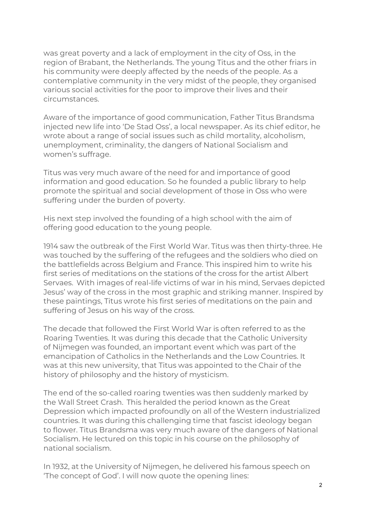was great poverty and a lack of employment in the city of Oss, in the region of Brabant, the Netherlands. The young Titus and the other friars in his community were deeply affected by the needs of the people. As a contemplative community in the very midst of the people, they organised various social activities for the poor to improve their lives and their circumstances.

Aware of the importance of good communication, Father Titus Brandsma injected new life into 'De Stad Oss', a local newspaper. As its chief editor, he wrote about a range of social issues such as child mortality, alcoholism, unemployment, criminality, the dangers of National Socialism and women's suffrage.

Titus was very much aware of the need for and importance of good information and good education. So he founded a public library to help promote the spiritual and social development of those in Oss who were suffering under the burden of poverty.

His next step involved the founding of a high school with the aim of offering good education to the young people.

1914 saw the outbreak of the First World War. Titus was then thirty-three. He was touched by the suffering of the refugees and the soldiers who died on the battlefields across Belgium and France. This inspired him to write his first series of meditations on the stations of the cross for the artist Albert Servaes. With images of real-life victims of war in his mind, Servaes depicted Jesus' way of the cross in the most graphic and striking manner. Inspired by these paintings, Titus wrote his first series of meditations on the pain and suffering of Jesus on his way of the cross.

The decade that followed the First World War is often referred to as the Roaring Twenties. It was during this decade that the Catholic University of Nijmegen was founded, an important event which was part of the emancipation of Catholics in the Netherlands and the Low Countries. It was at this new university, that Titus was appointed to the Chair of the history of philosophy and the history of mysticism.

The end of the so-called roaring twenties was then suddenly marked by the Wall Street Crash. This heralded the period known as the Great Depression which impacted profoundly on all of the Western industrialized countries. It was during this challenging time that fascist ideology began to flower. Titus Brandsma was very much aware of the dangers of National Socialism. He lectured on this topic in his course on the philosophy of national socialism.

In 1932, at the University of Nijmegen, he delivered his famous speech on 'The concept of God'. I will now quote the opening lines: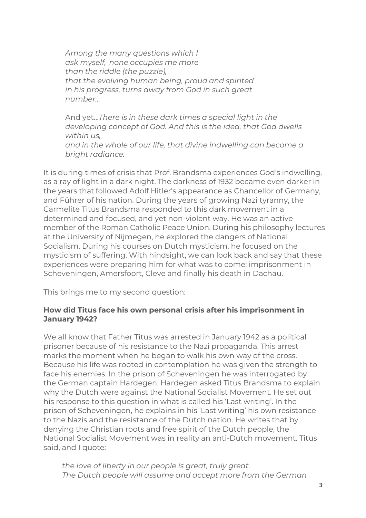*Among the many questions which I ask myself, none occupies me more than the riddle (the puzzle), that the evolving human being, proud and spirited in his progress, turns away from God in such great number…*

And yet…*There is in these dark times a special light in the developing concept of God. And this is the idea, that God dwells within us, and in the whole of our life, that divine indwelling can become a bright radiance.*

It is during times of crisis that Prof. Brandsma experiences God's indwelling, as a ray of light in a dark night. The darkness of 1932 became even darker in the years that followed Adolf Hitler's appearance as Chancellor of Germany, and Führer of his nation. During the years of growing Nazi tyranny, the Carmelite Titus Brandsma responded to this dark movement in a determined and focused, and yet non-violent way. He was an active member of the Roman Catholic Peace Union. During his philosophy lectures at the University of Nijmegen, he explored the dangers of National Socialism. During his courses on Dutch mysticism, he focused on the mysticism of suffering. With hindsight, we can look back and say that these experiences were preparing him for what was to come: imprisonment in Scheveningen, Amersfoort, Cleve and finally his death in Dachau.

This brings me to my second question:

## **How did Titus face his own personal crisis after his imprisonment in January 1942?**

We all know that Father Titus was arrested in January 1942 as a political prisoner because of his resistance to the Nazi propaganda. This arrest marks the moment when he began to walk his own way of the cross. Because his life was rooted in contemplation he was given the strength to face his enemies. In the prison of Scheveningen he was interrogated by the German captain Hardegen. Hardegen asked Titus Brandsma to explain why the Dutch were against the National Socialist Movement. He set out his response to this question in what is called his 'Last writing'. In the prison of Scheveningen, he explains in his 'Last writing' his own resistance to the Nazis and the resistance of the Dutch nation. He writes that by denying the Christian roots and free spirit of the Dutch people, the National Socialist Movement was in reality an anti-Dutch movement. Titus said, and I quote:

*the love of liberty in our people is great, truly great. The Dutch people will assume and accept more from the German*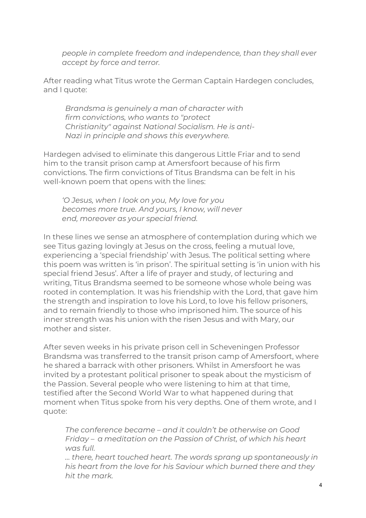*people in complete freedom and independence, than they shall ever accept by force and terror.*

After reading what Titus wrote the German Captain Hardegen concludes, and I quote:

*Brandsma is genuinely a man of character with firm convictions, who wants to "protect Christianity" against National Socialism. He is anti-Nazi in principle and shows this everywhere.*

Hardegen advised to eliminate this dangerous Little Friar and to send him to the transit prison camp at Amersfoort because of his firm convictions. The firm convictions of Titus Brandsma can be felt in his well-known poem that opens with the lines:

*'O Jesus, when I look on you, My love for you becomes more true. And yours, I know, will never end, moreover as your special friend.*

In these lines we sense an atmosphere of contemplation during which we see Titus gazing lovingly at Jesus on the cross, feeling a mutual love, experiencing a 'special friendship' with Jesus. The political setting where this poem was written is 'in prison'. The spiritual setting is 'in union with his special friend Jesus'. After a life of prayer and study, of lecturing and writing, Titus Brandsma seemed to be someone whose whole being was rooted in contemplation. It was his friendship with the Lord, that gave him the strength and inspiration to love his Lord, to love his fellow prisoners, and to remain friendly to those who imprisoned him. The source of his inner strength was his union with the risen Jesus and with Mary, our mother and sister.

After seven weeks in his private prison cell in Scheveningen Professor Brandsma was transferred to the transit prison camp of Amersfoort, where he shared a barrack with other prisoners. Whilst in Amersfoort he was invited by a protestant political prisoner to speak about the mysticism of the Passion. Several people who were listening to him at that time, testified after the Second World War to what happened during that moment when Titus spoke from his very depths. One of them wrote, and I quote:

*The conference became – and it couldn't be otherwise on Good Friday – a meditation on the Passion of Christ, of which his heart was full.*

*… there, heart touched heart. The words sprang up spontaneously in his heart from the love for his Saviour which burned there and they hit the mark.*